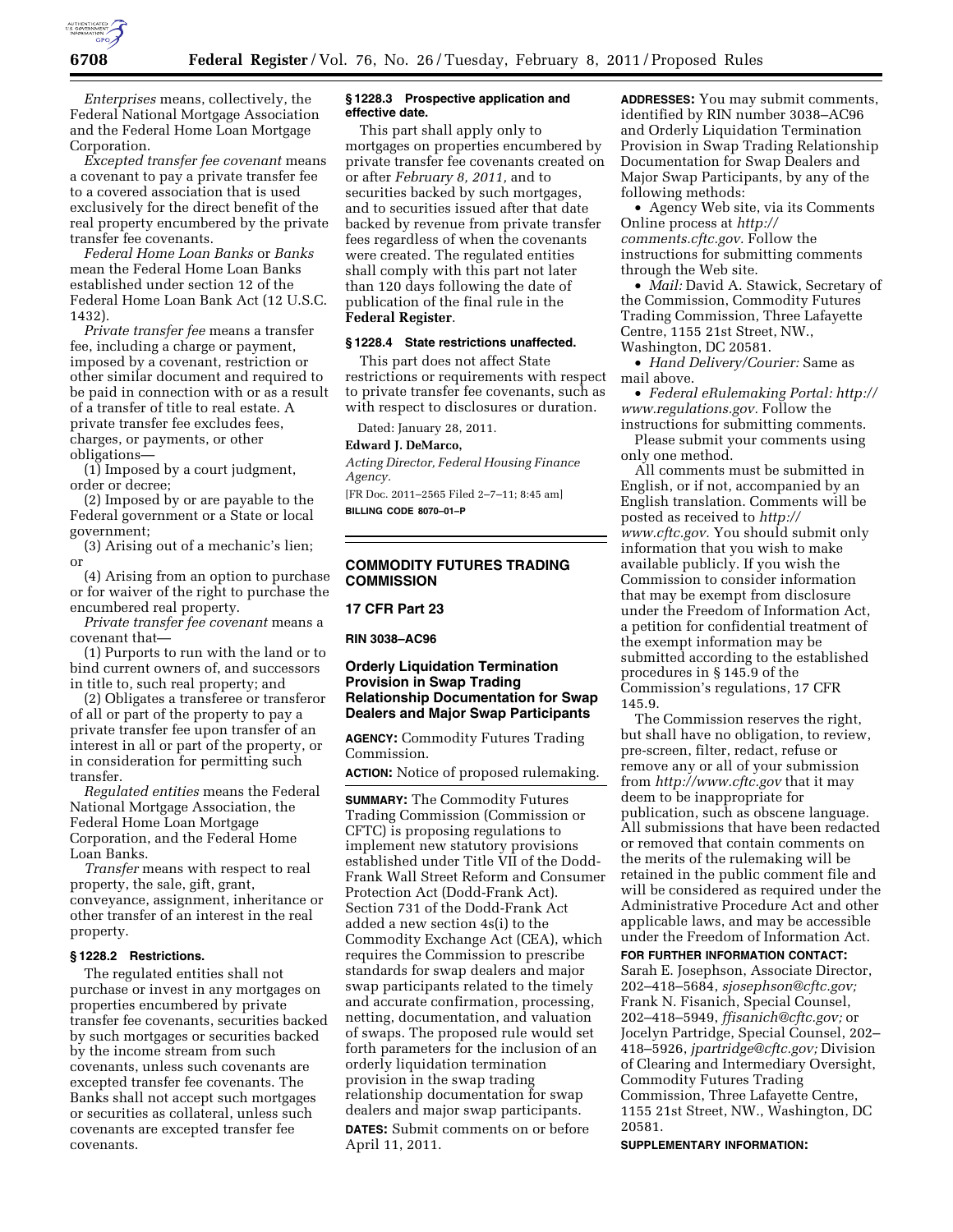

*Enterprises* means, collectively, the Federal National Mortgage Association and the Federal Home Loan Mortgage Corporation.

*Excepted transfer fee covenant* means a covenant to pay a private transfer fee to a covered association that is used exclusively for the direct benefit of the real property encumbered by the private transfer fee covenants.

*Federal Home Loan Banks* or *Banks*  mean the Federal Home Loan Banks established under section 12 of the Federal Home Loan Bank Act (12 U.S.C. 1432).

*Private transfer fee* means a transfer fee, including a charge or payment, imposed by a covenant, restriction or other similar document and required to be paid in connection with or as a result of a transfer of title to real estate. A private transfer fee excludes fees, charges, or payments, or other obligations—

(1) Imposed by a court judgment, order or decree;

(2) Imposed by or are payable to the Federal government or a State or local government;

(3) Arising out of a mechanic's lien; or

(4) Arising from an option to purchase or for waiver of the right to purchase the encumbered real property.

*Private transfer fee covenant* means a covenant that—

(1) Purports to run with the land or to bind current owners of, and successors in title to, such real property; and

(2) Obligates a transferee or transferor of all or part of the property to pay a private transfer fee upon transfer of an interest in all or part of the property, or in consideration for permitting such transfer.

*Regulated entities* means the Federal National Mortgage Association, the Federal Home Loan Mortgage Corporation, and the Federal Home Loan Banks.

*Transfer* means with respect to real property, the sale, gift, grant, conveyance, assignment, inheritance or other transfer of an interest in the real property.

## **§ 1228.2 Restrictions.**

The regulated entities shall not purchase or invest in any mortgages on properties encumbered by private transfer fee covenants, securities backed by such mortgages or securities backed by the income stream from such covenants, unless such covenants are excepted transfer fee covenants. The Banks shall not accept such mortgages or securities as collateral, unless such covenants are excepted transfer fee covenants.

## **§ 1228.3 Prospective application and effective date.**

This part shall apply only to mortgages on properties encumbered by private transfer fee covenants created on or after *February 8, 2011,* and to securities backed by such mortgages, and to securities issued after that date backed by revenue from private transfer fees regardless of when the covenants were created. The regulated entities shall comply with this part not later than 120 days following the date of publication of the final rule in the **Federal Register**.

## **§ 1228.4 State restrictions unaffected.**

This part does not affect State restrictions or requirements with respect to private transfer fee covenants, such as with respect to disclosures or duration.

Dated: January 28, 2011.

### **Edward J. DeMarco,**

*Acting Director, Federal Housing Finance Agency.* 

[FR Doc. 2011–2565 Filed 2–7–11; 8:45 am] **BILLING CODE 8070–01–P** 

# **COMMODITY FUTURES TRADING COMMISSION**

# **17 CFR Part 23**

### **RIN 3038–AC96**

## **Orderly Liquidation Termination Provision in Swap Trading Relationship Documentation for Swap Dealers and Major Swap Participants**

**AGENCY:** Commodity Futures Trading Commission.

**ACTION:** Notice of proposed rulemaking.

**SUMMARY:** The Commodity Futures Trading Commission (Commission or CFTC) is proposing regulations to implement new statutory provisions established under Title VII of the Dodd-Frank Wall Street Reform and Consumer Protection Act (Dodd-Frank Act). Section 731 of the Dodd-Frank Act added a new section 4s(i) to the Commodity Exchange Act (CEA), which requires the Commission to prescribe standards for swap dealers and major swap participants related to the timely and accurate confirmation, processing, netting, documentation, and valuation of swaps. The proposed rule would set forth parameters for the inclusion of an orderly liquidation termination provision in the swap trading relationship documentation for swap dealers and major swap participants. **DATES:** Submit comments on or before April 11, 2011.

**ADDRESSES:** You may submit comments, identified by RIN number 3038–AC96 and Orderly Liquidation Termination Provision in Swap Trading Relationship Documentation for Swap Dealers and Major Swap Participants, by any of the following methods:

• Agency Web site, via its Comments Online process at *[http://](http://comments.cftc.gov)  [comments.cftc.gov.](http://comments.cftc.gov)* Follow the instructions for submitting comments through the Web site.

• *Mail:* David A. Stawick, Secretary of the Commission, Commodity Futures Trading Commission, Three Lafayette Centre, 1155 21st Street, NW., Washington, DC 20581.

• *Hand Delivery/Courier:* Same as mail above.

• *Federal eRulemaking Portal: [http://](http://www.regulations.gov)  [www.regulations.gov.](http://www.regulations.gov)* Follow the instructions for submitting comments.

Please submit your comments using only one method.

All comments must be submitted in English, or if not, accompanied by an English translation. Comments will be posted as received to *[http://](http://www.cftc.gov) [www.cftc.gov.](http://www.cftc.gov)* You should submit only information that you wish to make available publicly. If you wish the Commission to consider information that may be exempt from disclosure under the Freedom of Information Act, a petition for confidential treatment of the exempt information may be submitted according to the established procedures in § 145.9 of the Commission's regulations, 17 CFR 145.9.

The Commission reserves the right, but shall have no obligation, to review, pre-screen, filter, redact, refuse or remove any or all of your submission from *<http://www.cftc.gov>* that it may deem to be inappropriate for publication, such as obscene language. All submissions that have been redacted or removed that contain comments on the merits of the rulemaking will be retained in the public comment file and will be considered as required under the Administrative Procedure Act and other applicable laws, and may be accessible under the Freedom of Information Act.

#### **FOR FURTHER INFORMATION CONTACT:**

Sarah E. Josephson, Associate Director, 202–418–5684, *[sjosephson@cftc.gov;](mailto:sjosephson@cftc.gov)*  Frank N. Fisanich, Special Counsel, 202–418–5949, *[ffisanich@cftc.gov;](mailto:ffisanich@cftc.gov)* or Jocelyn Partridge, Special Counsel, 202– 418–5926, *[jpartridge@cftc.gov;](mailto:jpartridge@cftc.gov)* Division of Clearing and Intermediary Oversight, Commodity Futures Trading Commission, Three Lafayette Centre, 1155 21st Street, NW., Washington, DC 20581.

**SUPPLEMENTARY INFORMATION:**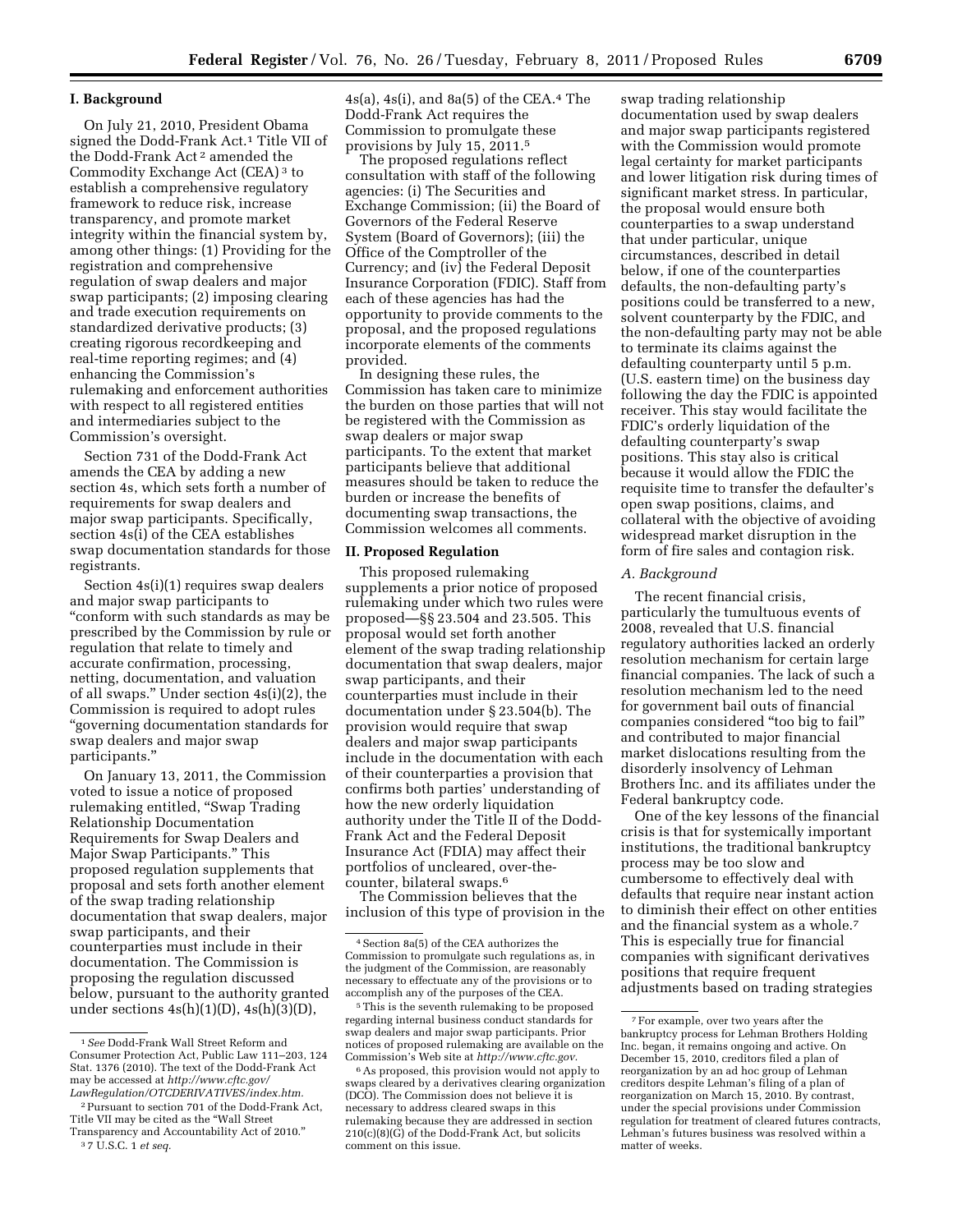## **I. Background**

On July 21, 2010, President Obama signed the Dodd-Frank Act.1 Title VII of the Dodd-Frank Act 2 amended the Commodity Exchange Act (CEA) 3 to establish a comprehensive regulatory framework to reduce risk, increase transparency, and promote market integrity within the financial system by, among other things: (1) Providing for the registration and comprehensive regulation of swap dealers and major swap participants; (2) imposing clearing and trade execution requirements on standardized derivative products; (3) creating rigorous recordkeeping and real-time reporting regimes; and (4) enhancing the Commission's rulemaking and enforcement authorities with respect to all registered entities and intermediaries subject to the Commission's oversight.

Section 731 of the Dodd-Frank Act amends the CEA by adding a new section 4s, which sets forth a number of requirements for swap dealers and major swap participants. Specifically, section 4s(i) of the CEA establishes swap documentation standards for those registrants.

Section 4s(i)(1) requires swap dealers and major swap participants to ''conform with such standards as may be prescribed by the Commission by rule or regulation that relate to timely and accurate confirmation, processing, netting, documentation, and valuation of all swaps.'' Under section 4s(i)(2), the Commission is required to adopt rules ''governing documentation standards for swap dealers and major swap participants.''

On January 13, 2011, the Commission voted to issue a notice of proposed rulemaking entitled, ''Swap Trading Relationship Documentation Requirements for Swap Dealers and Major Swap Participants.'' This proposed regulation supplements that proposal and sets forth another element of the swap trading relationship documentation that swap dealers, major swap participants, and their counterparties must include in their documentation. The Commission is proposing the regulation discussed below, pursuant to the authority granted under sections  $4s(h)(1)(D)$ ,  $4s(h)(3)(D)$ ,

 $4s(a)$ ,  $4s(i)$ , and  $8a(5)$  of the CEA.<sup>4</sup> The Dodd-Frank Act requires the Commission to promulgate these provisions by July 15, 2011.5

The proposed regulations reflect consultation with staff of the following agencies: (i) The Securities and Exchange Commission; (ii) the Board of Governors of the Federal Reserve System (Board of Governors); (iii) the Office of the Comptroller of the Currency; and (iv) the Federal Deposit Insurance Corporation (FDIC). Staff from each of these agencies has had the opportunity to provide comments to the proposal, and the proposed regulations incorporate elements of the comments provided.

In designing these rules, the Commission has taken care to minimize the burden on those parties that will not be registered with the Commission as swap dealers or major swap participants. To the extent that market participants believe that additional measures should be taken to reduce the burden or increase the benefits of documenting swap transactions, the Commission welcomes all comments.

#### **II. Proposed Regulation**

This proposed rulemaking supplements a prior notice of proposed rulemaking under which two rules were proposed—§§ 23.504 and 23.505. This proposal would set forth another element of the swap trading relationship documentation that swap dealers, major swap participants, and their counterparties must include in their documentation under § 23.504(b). The provision would require that swap dealers and major swap participants include in the documentation with each of their counterparties a provision that confirms both parties' understanding of how the new orderly liquidation authority under the Title II of the Dodd-Frank Act and the Federal Deposit Insurance Act (FDIA) may affect their portfolios of uncleared, over-thecounter, bilateral swaps.6

The Commission believes that the inclusion of this type of provision in the

swap trading relationship documentation used by swap dealers and major swap participants registered with the Commission would promote legal certainty for market participants and lower litigation risk during times of significant market stress. In particular, the proposal would ensure both counterparties to a swap understand that under particular, unique circumstances, described in detail below, if one of the counterparties defaults, the non-defaulting party's positions could be transferred to a new, solvent counterparty by the FDIC, and the non-defaulting party may not be able to terminate its claims against the defaulting counterparty until 5 p.m. (U.S. eastern time) on the business day following the day the FDIC is appointed receiver. This stay would facilitate the FDIC's orderly liquidation of the defaulting counterparty's swap positions. This stay also is critical because it would allow the FDIC the requisite time to transfer the defaulter's open swap positions, claims, and collateral with the objective of avoiding widespread market disruption in the form of fire sales and contagion risk.

## *A. Background*

The recent financial crisis, particularly the tumultuous events of 2008, revealed that U.S. financial regulatory authorities lacked an orderly resolution mechanism for certain large financial companies. The lack of such a resolution mechanism led to the need for government bail outs of financial companies considered ''too big to fail'' and contributed to major financial market dislocations resulting from the disorderly insolvency of Lehman Brothers Inc. and its affiliates under the Federal bankruptcy code.

One of the key lessons of the financial crisis is that for systemically important institutions, the traditional bankruptcy process may be too slow and cumbersome to effectively deal with defaults that require near instant action to diminish their effect on other entities and the financial system as a whole.7 This is especially true for financial companies with significant derivatives positions that require frequent adjustments based on trading strategies

<sup>1</sup>*See* Dodd-Frank Wall Street Reform and Consumer Protection Act, Public Law 111–203, 124 Stat. 1376 (2010). The text of the Dodd-Frank Act may be accessed at *[http://www.cftc.gov/](http://www.cftc.gov/LawRegulation/OTCDERIVATIVES/index.htm) [LawRegulation/OTCDERIVATIVES/index.htm.](http://www.cftc.gov/LawRegulation/OTCDERIVATIVES/index.htm)* 

<sup>2</sup>Pursuant to section 701 of the Dodd-Frank Act, Title VII may be cited as the ''Wall Street Transparency and Accountability Act of 2010.''

<sup>3</sup> 7 U.S.C. 1 *et seq.* 

<sup>4</sup>Section 8a(5) of the CEA authorizes the Commission to promulgate such regulations as, in the judgment of the Commission, are reasonably necessary to effectuate any of the provisions or to accomplish any of the purposes of the CEA.

<sup>5</sup>This is the seventh rulemaking to be proposed regarding internal business conduct standards for swap dealers and major swap participants. Prior notices of proposed rulemaking are available on the Commission's Web site at *[http://www.cftc.gov.](http://www.cftc.gov)* 

<sup>6</sup>As proposed, this provision would not apply to swaps cleared by a derivatives clearing organization (DCO). The Commission does not believe it is necessary to address cleared swaps in this rulemaking because they are addressed in section  $210(c)(8)(\overline{G})$  of the Dodd-Frank Act, but solicits comment on this issue.

<sup>7</sup>For example, over two years after the bankruptcy process for Lehman Brothers Holding Inc. began, it remains ongoing and active. On December 15, 2010, creditors filed a plan of reorganization by an ad hoc group of Lehman creditors despite Lehman's filing of a plan of reorganization on March 15, 2010. By contrast, under the special provisions under Commission regulation for treatment of cleared futures contracts, Lehman's futures business was resolved within a matter of weeks.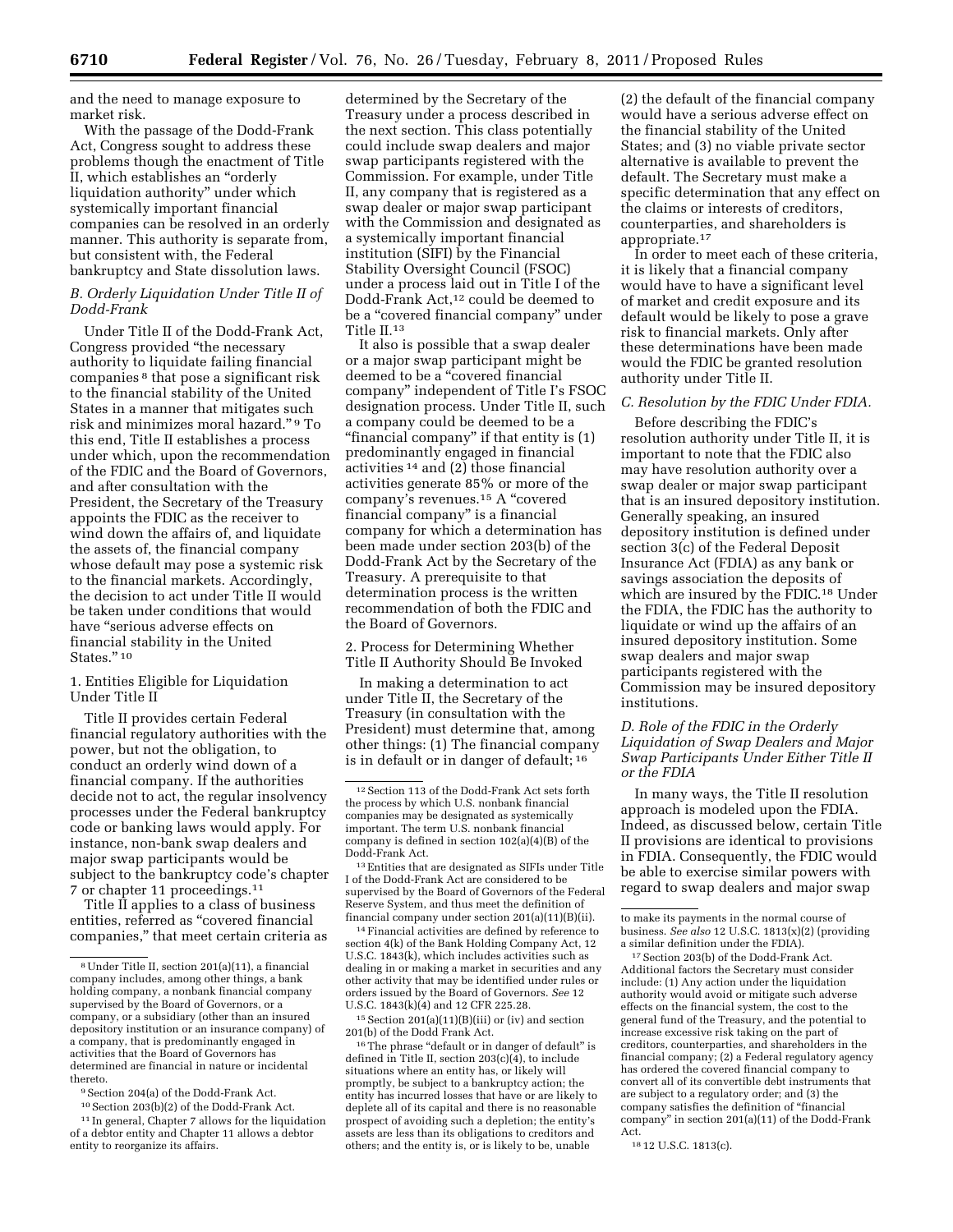and the need to manage exposure to market risk.

With the passage of the Dodd-Frank Act, Congress sought to address these problems though the enactment of Title II, which establishes an ''orderly liquidation authority'' under which systemically important financial companies can be resolved in an orderly manner. This authority is separate from, but consistent with, the Federal bankruptcy and State dissolution laws.

## *B. Orderly Liquidation Under Title II of Dodd-Frank*

Under Title II of the Dodd-Frank Act, Congress provided ''the necessary authority to liquidate failing financial companies 8 that pose a significant risk to the financial stability of the United States in a manner that mitigates such risk and minimizes moral hazard.'' 9 To this end, Title II establishes a process under which, upon the recommendation of the FDIC and the Board of Governors, and after consultation with the President, the Secretary of the Treasury appoints the FDIC as the receiver to wind down the affairs of, and liquidate the assets of, the financial company whose default may pose a systemic risk to the financial markets. Accordingly, the decision to act under Title II would be taken under conditions that would have ''serious adverse effects on financial stability in the United States."<sup>10</sup>

1. Entities Eligible for Liquidation Under Title II

Title II provides certain Federal financial regulatory authorities with the power, but not the obligation, to conduct an orderly wind down of a financial company. If the authorities decide not to act, the regular insolvency processes under the Federal bankruptcy code or banking laws would apply. For instance, non-bank swap dealers and major swap participants would be subject to the bankruptcy code's chapter 7 or chapter 11 proceedings.11

Title II applies to a class of business entities, referred as ''covered financial companies,'' that meet certain criteria as

10Section 203(b)(2) of the Dodd-Frank Act.

determined by the Secretary of the Treasury under a process described in the next section. This class potentially could include swap dealers and major swap participants registered with the Commission. For example, under Title II, any company that is registered as a swap dealer or major swap participant with the Commission and designated as a systemically important financial institution (SIFI) by the Financial Stability Oversight Council (FSOC) under a process laid out in Title I of the Dodd-Frank Act,12 could be deemed to be a ''covered financial company'' under Title II.13

It also is possible that a swap dealer or a major swap participant might be deemed to be a ''covered financial company'' independent of Title I's FSOC designation process. Under Title II, such a company could be deemed to be a "financial company" if that entity is (1) predominantly engaged in financial activities 14 and (2) those financial activities generate 85% or more of the company's revenues.15 A ''covered financial company'' is a financial company for which a determination has been made under section 203(b) of the Dodd-Frank Act by the Secretary of the Treasury. A prerequisite to that determination process is the written recommendation of both the FDIC and the Board of Governors.

2. Process for Determining Whether Title II Authority Should Be Invoked

In making a determination to act under Title II, the Secretary of the Treasury (in consultation with the President) must determine that, among other things: (1) The financial company is in default or in danger of default; 16

13Entities that are designated as SIFIs under Title I of the Dodd-Frank Act are considered to be supervised by the Board of Governors of the Federal Reserve System, and thus meet the definition of financial company under section 201(a)(11)(B)(ii).

14Financial activities are defined by reference to section 4(k) of the Bank Holding Company Act, 12 U.S.C. 1843(k), which includes activities such as dealing in or making a market in securities and any other activity that may be identified under rules or orders issued by the Board of Governors. *See* 12 U.S.C. 1843(k)(4) and 12 CFR 225.28.

15Section 201(a)(11)(B)(iii) or (iv) and section 201(b) of the Dodd Frank Act.

<sup>16</sup>The phrase "default or in danger of default" is defined in Title II, section  $203(c)(4)$ , to include situations where an entity has, or likely will promptly, be subject to a bankruptcy action; the entity has incurred losses that have or are likely to deplete all of its capital and there is no reasonable prospect of avoiding such a depletion; the entity's assets are less than its obligations to creditors and others; and the entity is, or is likely to be, unable

(2) the default of the financial company would have a serious adverse effect on the financial stability of the United States; and (3) no viable private sector alternative is available to prevent the default. The Secretary must make a specific determination that any effect on the claims or interests of creditors, counterparties, and shareholders is appropriate.17

In order to meet each of these criteria, it is likely that a financial company would have to have a significant level of market and credit exposure and its default would be likely to pose a grave risk to financial markets. Only after these determinations have been made would the FDIC be granted resolution authority under Title II.

## *C. Resolution by the FDIC Under FDIA.*

Before describing the FDIC's resolution authority under Title II, it is important to note that the FDIC also may have resolution authority over a swap dealer or major swap participant that is an insured depository institution. Generally speaking, an insured depository institution is defined under section 3(c) of the Federal Deposit Insurance Act (FDIA) as any bank or savings association the deposits of which are insured by the FDIC.<sup>18</sup> Under the FDIA, the FDIC has the authority to liquidate or wind up the affairs of an insured depository institution. Some swap dealers and major swap participants registered with the Commission may be insured depository institutions.

# *D. Role of the FDIC in the Orderly Liquidation of Swap Dealers and Major Swap Participants Under Either Title II or the FDIA*

In many ways, the Title II resolution approach is modeled upon the FDIA. Indeed, as discussed below, certain Title II provisions are identical to provisions in FDIA. Consequently, the FDIC would be able to exercise similar powers with regard to swap dealers and major swap

17Section 203(b) of the Dodd-Frank Act. Additional factors the Secretary must consider include: (1) Any action under the liquidation authority would avoid or mitigate such adverse effects on the financial system, the cost to the general fund of the Treasury, and the potential to increase excessive risk taking on the part of creditors, counterparties, and shareholders in the financial company; (2) a Federal regulatory agency has ordered the covered financial company to convert all of its convertible debt instruments that are subject to a regulatory order; and (3) the company satisfies the definition of ''financial company'' in section 201(a)(11) of the Dodd-Frank Act.

18 12 U.S.C. 1813(c).

<sup>8</sup>Under Title II, section 201(a)(11), a financial company includes, among other things, a bank holding company, a nonbank financial company supervised by the Board of Governors, or a company, or a subsidiary (other than an insured depository institution or an insurance company) of a company, that is predominantly engaged in activities that the Board of Governors has determined are financial in nature or incidental thereto.

<sup>9</sup>Section 204(a) of the Dodd-Frank Act.

<sup>11</sup> In general, Chapter 7 allows for the liquidation of a debtor entity and Chapter 11 allows a debtor entity to reorganize its affairs.

<sup>12</sup>Section 113 of the Dodd-Frank Act sets forth the process by which U.S. nonbank financial companies may be designated as systemically important. The term U.S. nonbank financial company is defined in section 102(a)(4)(B) of the Dodd-Frank Act.

to make its payments in the normal course of business. *See also* 12 U.S.C. 1813(x)(2) (providing a similar definition under the FDIA).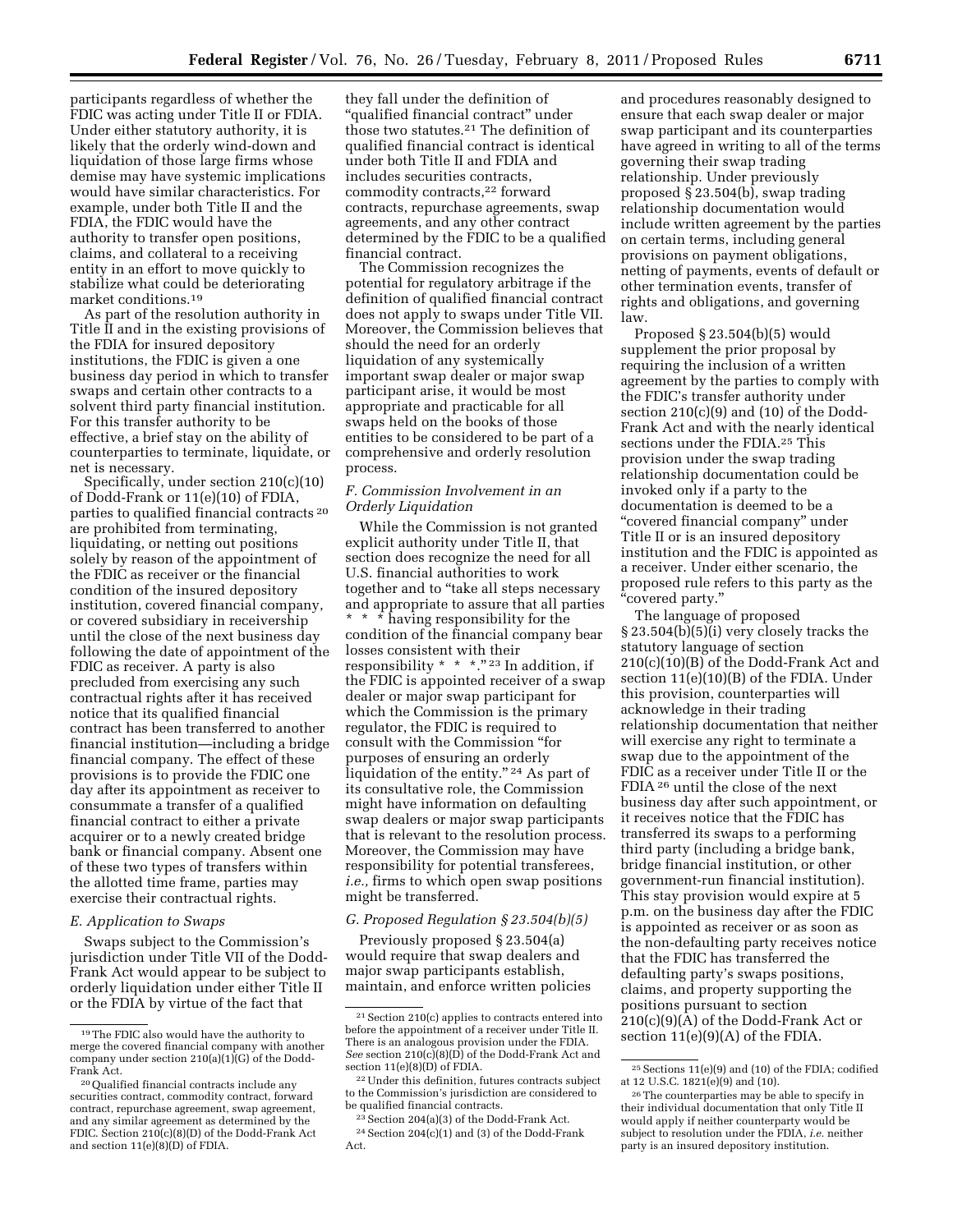participants regardless of whether the FDIC was acting under Title II or FDIA. Under either statutory authority, it is likely that the orderly wind-down and liquidation of those large firms whose demise may have systemic implications would have similar characteristics. For example, under both Title II and the FDIA, the FDIC would have the authority to transfer open positions, claims, and collateral to a receiving entity in an effort to move quickly to stabilize what could be deteriorating market conditions.19

As part of the resolution authority in Title II and in the existing provisions of the FDIA for insured depository institutions, the FDIC is given a one business day period in which to transfer swaps and certain other contracts to a solvent third party financial institution. For this transfer authority to be effective, a brief stay on the ability of counterparties to terminate, liquidate, or net is necessary.

Specifically, under section 210(c)(10) of Dodd-Frank or 11(e)(10) of FDIA, parties to qualified financial contracts 20 are prohibited from terminating, liquidating, or netting out positions solely by reason of the appointment of the FDIC as receiver or the financial condition of the insured depository institution, covered financial company, or covered subsidiary in receivership until the close of the next business day following the date of appointment of the FDIC as receiver. A party is also precluded from exercising any such contractual rights after it has received notice that its qualified financial contract has been transferred to another financial institution—including a bridge financial company. The effect of these provisions is to provide the FDIC one day after its appointment as receiver to consummate a transfer of a qualified financial contract to either a private acquirer or to a newly created bridge bank or financial company. Absent one of these two types of transfers within the allotted time frame, parties may exercise their contractual rights.

## *E. Application to Swaps*

Swaps subject to the Commission's jurisdiction under Title VII of the Dodd-Frank Act would appear to be subject to orderly liquidation under either Title II or the FDIA by virtue of the fact that

they fall under the definition of ''qualified financial contract'' under those two statutes.21 The definition of qualified financial contract is identical under both Title II and FDIA and includes securities contracts, commodity contracts,22 forward contracts, repurchase agreements, swap agreements, and any other contract determined by the FDIC to be a qualified financial contract.

The Commission recognizes the potential for regulatory arbitrage if the definition of qualified financial contract does not apply to swaps under Title VII. Moreover, the Commission believes that should the need for an orderly liquidation of any systemically important swap dealer or major swap participant arise, it would be most appropriate and practicable for all swaps held on the books of those entities to be considered to be part of a comprehensive and orderly resolution process.

## *F. Commission Involvement in an Orderly Liquidation*

While the Commission is not granted explicit authority under Title II, that section does recognize the need for all U.S. financial authorities to work together and to "take all steps necessary and appropriate to assure that all parties \* \* \* having responsibility for the condition of the financial company bear losses consistent with their responsibility  $* * * "23 In addition, if$ the FDIC is appointed receiver of a swap dealer or major swap participant for which the Commission is the primary regulator, the FDIC is required to consult with the Commission ''for purposes of ensuring an orderly liquidation of the entity."<sup>24</sup> As part of its consultative role, the Commission might have information on defaulting swap dealers or major swap participants that is relevant to the resolution process. Moreover, the Commission may have responsibility for potential transferees, *i.e.,* firms to which open swap positions might be transferred.

## *G. Proposed Regulation § 23.504(b)(5)*

Previously proposed § 23.504(a) would require that swap dealers and major swap participants establish, maintain, and enforce written policies

and procedures reasonably designed to ensure that each swap dealer or major swap participant and its counterparties have agreed in writing to all of the terms governing their swap trading relationship. Under previously proposed § 23.504(b), swap trading relationship documentation would include written agreement by the parties on certain terms, including general provisions on payment obligations, netting of payments, events of default or other termination events, transfer of rights and obligations, and governing law.

Proposed § 23.504(b)(5) would supplement the prior proposal by requiring the inclusion of a written agreement by the parties to comply with the FDIC's transfer authority under section 210(c)(9) and (10) of the Dodd-Frank Act and with the nearly identical sections under the FDIA.25 This provision under the swap trading relationship documentation could be invoked only if a party to the documentation is deemed to be a ''covered financial company'' under Title II or is an insured depository institution and the FDIC is appointed as a receiver. Under either scenario, the proposed rule refers to this party as the ''covered party.''

The language of proposed § 23.504(b)(5)(i) very closely tracks the statutory language of section 210(c)(10)(B) of the Dodd-Frank Act and section 11(e)(10)(B) of the FDIA. Under this provision, counterparties will acknowledge in their trading relationship documentation that neither will exercise any right to terminate a swap due to the appointment of the FDIC as a receiver under Title II or the FDIA 26 until the close of the next business day after such appointment, or it receives notice that the FDIC has transferred its swaps to a performing third party (including a bridge bank, bridge financial institution, or other government-run financial institution). This stay provision would expire at 5 p.m. on the business day after the FDIC is appointed as receiver or as soon as the non-defaulting party receives notice that the FDIC has transferred the defaulting party's swaps positions, claims, and property supporting the positions pursuant to section 210(c)(9)(A) of the Dodd-Frank Act or section 11(e)(9)(A) of the FDIA.

<sup>19</sup>The FDIC also would have the authority to merge the covered financial company with another company under section 210(a)(1)(G) of the Dodd-<br>Frank Act.

<sup>&</sup>lt;sup>20</sup> Qualified financial contracts include any securities contract, commodity contract, forward contract, repurchase agreement, swap agreement, and any similar agreement as determined by the FDIC. Section 210(c)(8)(D) of the Dodd-Frank Act and section 11(e)(8)(D) of FDIA.

<sup>21</sup>Section 210(c) applies to contracts entered into before the appointment of a receiver under Title II. There is an analogous provision under the FDIA. *See* section 210(c)(8)(D) of the Dodd-Frank Act and section 11(e)(8)(D) of FDIA.

<sup>22</sup>Under this definition, futures contracts subject to the Commission's jurisdiction are considered to be qualified financial contracts.

<sup>23</sup>Section 204(a)(3) of the Dodd-Frank Act.

 $24$  Section 204(c)(1) and (3) of the Dodd-Frank Act.

 $^{25}$  Sections  $11(\mathrm{e})(9)$  and (10) of the FDIA; codified at 12 U.S.C. 1821(e)(9) and (10).

<sup>26</sup>The counterparties may be able to specify in their individual documentation that only Title II would apply if neither counterparty would be subject to resolution under the FDIA, *i.e.* neither party is an insured depository institution.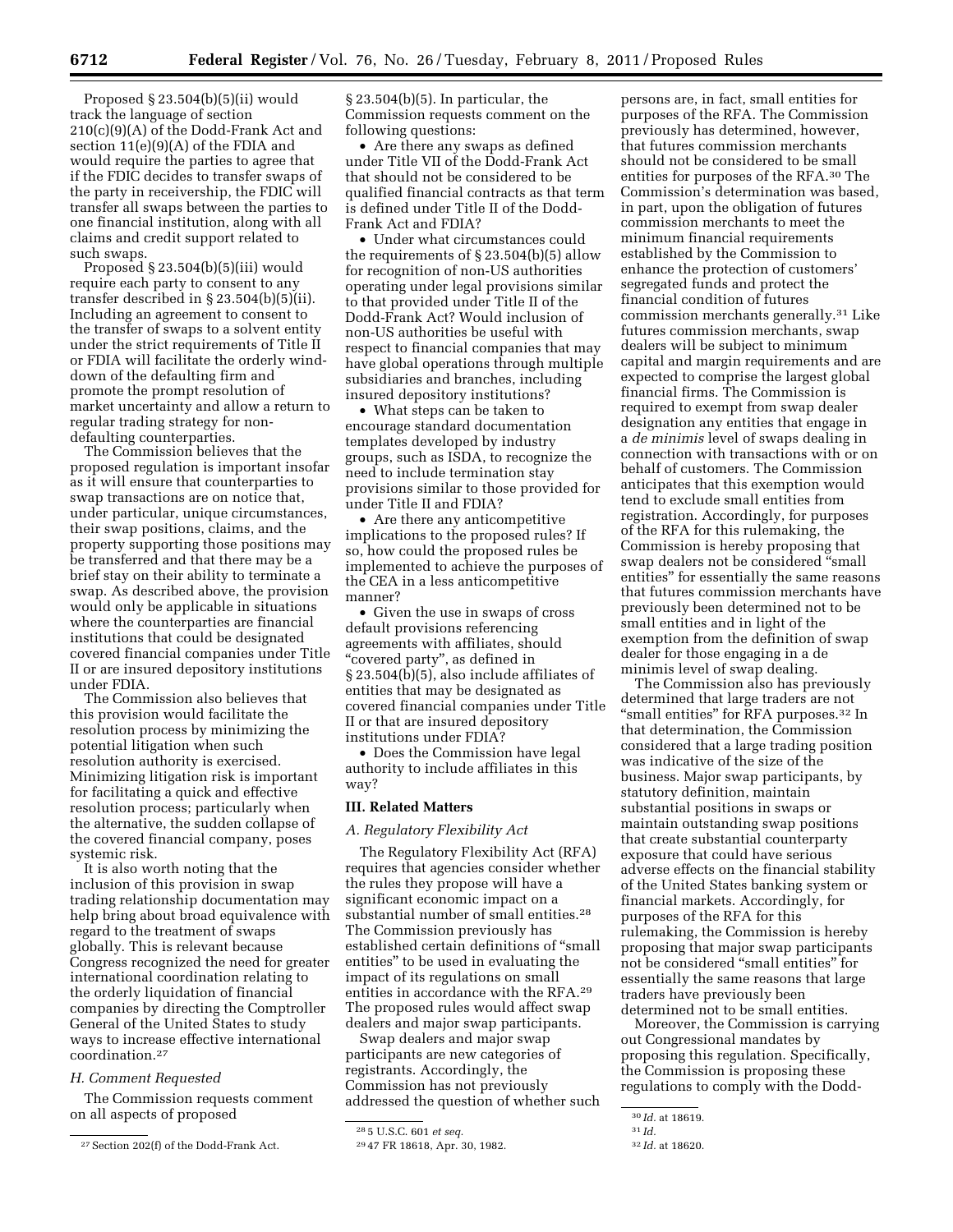Proposed § 23.504(b)(5)(ii) would track the language of section 210(c)(9)(A) of the Dodd-Frank Act and section 11(e)(9)(A) of the FDIA and would require the parties to agree that if the FDIC decides to transfer swaps of the party in receivership, the FDIC will transfer all swaps between the parties to one financial institution, along with all claims and credit support related to such swaps.

Proposed § 23.504(b)(5)(iii) would require each party to consent to any transfer described in § 23.504(b)(5)(ii). Including an agreement to consent to the transfer of swaps to a solvent entity under the strict requirements of Title II or FDIA will facilitate the orderly winddown of the defaulting firm and promote the prompt resolution of market uncertainty and allow a return to regular trading strategy for nondefaulting counterparties.

The Commission believes that the proposed regulation is important insofar as it will ensure that counterparties to swap transactions are on notice that, under particular, unique circumstances, their swap positions, claims, and the property supporting those positions may be transferred and that there may be a brief stay on their ability to terminate a swap. As described above, the provision would only be applicable in situations where the counterparties are financial institutions that could be designated covered financial companies under Title II or are insured depository institutions under FDIA.

The Commission also believes that this provision would facilitate the resolution process by minimizing the potential litigation when such resolution authority is exercised. Minimizing litigation risk is important for facilitating a quick and effective resolution process; particularly when the alternative, the sudden collapse of the covered financial company, poses systemic risk.

It is also worth noting that the inclusion of this provision in swap trading relationship documentation may help bring about broad equivalence with regard to the treatment of swaps globally. This is relevant because Congress recognized the need for greater international coordination relating to the orderly liquidation of financial companies by directing the Comptroller General of the United States to study ways to increase effective international coordination.27

### *H. Comment Requested*

The Commission requests comment on all aspects of proposed

§ 23.504(b)(5). In particular, the Commission requests comment on the following questions:

• Are there any swaps as defined under Title VII of the Dodd-Frank Act that should not be considered to be qualified financial contracts as that term is defined under Title II of the Dodd-Frank Act and FDIA?

• Under what circumstances could the requirements of § 23.504(b)(5) allow for recognition of non-US authorities operating under legal provisions similar to that provided under Title II of the Dodd-Frank Act? Would inclusion of non-US authorities be useful with respect to financial companies that may have global operations through multiple subsidiaries and branches, including insured depository institutions?

• What steps can be taken to encourage standard documentation templates developed by industry groups, such as ISDA, to recognize the need to include termination stay provisions similar to those provided for under Title II and FDIA?

• Are there any anticompetitive implications to the proposed rules? If so, how could the proposed rules be implemented to achieve the purposes of the CEA in a less anticompetitive manner?

• Given the use in swaps of cross default provisions referencing agreements with affiliates, should "covered party", as defined in § 23.504(b)(5), also include affiliates of entities that may be designated as covered financial companies under Title II or that are insured depository institutions under FDIA?

• Does the Commission have legal authority to include affiliates in this way?

#### **III. Related Matters**

### *A. Regulatory Flexibility Act*

The Regulatory Flexibility Act (RFA) requires that agencies consider whether the rules they propose will have a significant economic impact on a substantial number of small entities.28 The Commission previously has established certain definitions of ''small entities'' to be used in evaluating the impact of its regulations on small entities in accordance with the RFA.29 The proposed rules would affect swap dealers and major swap participants.

Swap dealers and major swap participants are new categories of registrants. Accordingly, the Commission has not previously addressed the question of whether such

persons are, in fact, small entities for purposes of the RFA. The Commission previously has determined, however, that futures commission merchants should not be considered to be small entities for purposes of the RFA.30 The Commission's determination was based, in part, upon the obligation of futures commission merchants to meet the minimum financial requirements established by the Commission to enhance the protection of customers' segregated funds and protect the financial condition of futures commission merchants generally.31 Like futures commission merchants, swap dealers will be subject to minimum capital and margin requirements and are expected to comprise the largest global financial firms. The Commission is required to exempt from swap dealer designation any entities that engage in a *de minimis* level of swaps dealing in connection with transactions with or on behalf of customers. The Commission anticipates that this exemption would tend to exclude small entities from registration. Accordingly, for purposes of the RFA for this rulemaking, the Commission is hereby proposing that swap dealers not be considered ''small entities'' for essentially the same reasons that futures commission merchants have previously been determined not to be small entities and in light of the exemption from the definition of swap dealer for those engaging in a de minimis level of swap dealing.

The Commission also has previously determined that large traders are not "small entities" for RFA purposes.<sup>32</sup> In that determination, the Commission considered that a large trading position was indicative of the size of the business. Major swap participants, by statutory definition, maintain substantial positions in swaps or maintain outstanding swap positions that create substantial counterparty exposure that could have serious adverse effects on the financial stability of the United States banking system or financial markets. Accordingly, for purposes of the RFA for this rulemaking, the Commission is hereby proposing that major swap participants not be considered ''small entities'' for essentially the same reasons that large traders have previously been determined not to be small entities.

Moreover, the Commission is carrying out Congressional mandates by proposing this regulation. Specifically, the Commission is proposing these regulations to comply with the Dodd-

<sup>27</sup>Section 202(f) of the Dodd-Frank Act.

<sup>28</sup> 5 U.S.C. 601 *et seq.* 

<sup>29</sup> 47 FR 18618, Apr. 30, 1982.

<sup>30</sup> *Id.* at 18619.

<sup>31</sup> *Id.* 

<sup>32</sup> *Id.* at 18620.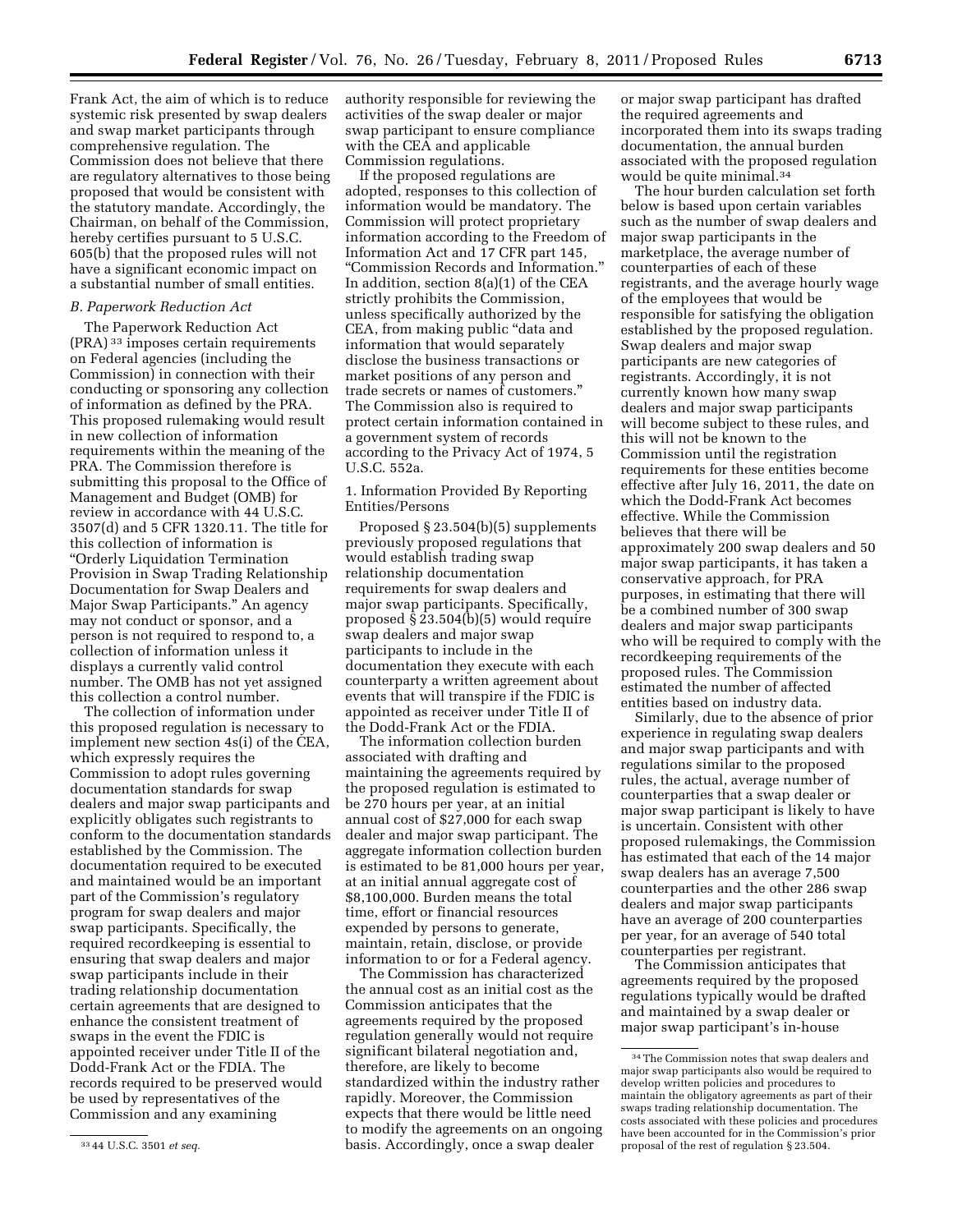Frank Act, the aim of which is to reduce systemic risk presented by swap dealers and swap market participants through comprehensive regulation. The Commission does not believe that there are regulatory alternatives to those being proposed that would be consistent with the statutory mandate. Accordingly, the

Chairman, on behalf of the Commission, hereby certifies pursuant to 5 U.S.C. 605(b) that the proposed rules will not have a significant economic impact on a substantial number of small entities.

## *B. Paperwork Reduction Act*

The Paperwork Reduction Act (PRA) 33 imposes certain requirements on Federal agencies (including the Commission) in connection with their conducting or sponsoring any collection of information as defined by the PRA. This proposed rulemaking would result in new collection of information requirements within the meaning of the PRA. The Commission therefore is submitting this proposal to the Office of Management and Budget (OMB) for review in accordance with 44 U.S.C. 3507(d) and 5 CFR 1320.11. The title for this collection of information is ''Orderly Liquidation Termination Provision in Swap Trading Relationship Documentation for Swap Dealers and Major Swap Participants.'' An agency may not conduct or sponsor, and a person is not required to respond to, a collection of information unless it displays a currently valid control number. The OMB has not yet assigned this collection a control number.

The collection of information under this proposed regulation is necessary to implement new section 4s(i) of the CEA, which expressly requires the Commission to adopt rules governing documentation standards for swap dealers and major swap participants and explicitly obligates such registrants to conform to the documentation standards established by the Commission. The documentation required to be executed and maintained would be an important part of the Commission's regulatory program for swap dealers and major swap participants. Specifically, the required recordkeeping is essential to ensuring that swap dealers and major swap participants include in their trading relationship documentation certain agreements that are designed to enhance the consistent treatment of swaps in the event the FDIC is appointed receiver under Title II of the Dodd-Frank Act or the FDIA. The records required to be preserved would be used by representatives of the Commission and any examining

authority responsible for reviewing the activities of the swap dealer or major swap participant to ensure compliance with the CEA and applicable Commission regulations.

If the proposed regulations are adopted, responses to this collection of information would be mandatory. The Commission will protect proprietary information according to the Freedom of Information Act and 17 CFR part 145, ''Commission Records and Information.'' In addition, section 8(a)(1) of the CEA strictly prohibits the Commission, unless specifically authorized by the CEA, from making public ''data and information that would separately disclose the business transactions or market positions of any person and trade secrets or names of customers.'' The Commission also is required to protect certain information contained in a government system of records according to the Privacy Act of 1974, 5 U.S.C. 552a.

1. Information Provided By Reporting Entities/Persons

Proposed § 23.504(b)(5) supplements previously proposed regulations that would establish trading swap relationship documentation requirements for swap dealers and major swap participants. Specifically, proposed § 23.504(b)(5) would require swap dealers and major swap participants to include in the documentation they execute with each counterparty a written agreement about events that will transpire if the FDIC is appointed as receiver under Title II of the Dodd-Frank Act or the FDIA.

The information collection burden associated with drafting and maintaining the agreements required by the proposed regulation is estimated to be 270 hours per year, at an initial annual cost of \$27,000 for each swap dealer and major swap participant. The aggregate information collection burden is estimated to be 81,000 hours per year, at an initial annual aggregate cost of \$8,100,000. Burden means the total time, effort or financial resources expended by persons to generate, maintain, retain, disclose, or provide information to or for a Federal agency.

The Commission has characterized the annual cost as an initial cost as the Commission anticipates that the agreements required by the proposed regulation generally would not require significant bilateral negotiation and, therefore, are likely to become standardized within the industry rather rapidly. Moreover, the Commission expects that there would be little need to modify the agreements on an ongoing basis. Accordingly, once a swap dealer

or major swap participant has drafted the required agreements and incorporated them into its swaps trading documentation, the annual burden associated with the proposed regulation would be quite minimal.34

The hour burden calculation set forth below is based upon certain variables such as the number of swap dealers and major swap participants in the marketplace, the average number of counterparties of each of these registrants, and the average hourly wage of the employees that would be responsible for satisfying the obligation established by the proposed regulation. Swap dealers and major swap participants are new categories of registrants. Accordingly, it is not currently known how many swap dealers and major swap participants will become subject to these rules, and this will not be known to the Commission until the registration requirements for these entities become effective after July 16, 2011, the date on which the Dodd-Frank Act becomes effective. While the Commission believes that there will be approximately 200 swap dealers and 50 major swap participants, it has taken a conservative approach, for PRA purposes, in estimating that there will be a combined number of 300 swap dealers and major swap participants who will be required to comply with the recordkeeping requirements of the proposed rules. The Commission estimated the number of affected entities based on industry data.

Similarly, due to the absence of prior experience in regulating swap dealers and major swap participants and with regulations similar to the proposed rules, the actual, average number of counterparties that a swap dealer or major swap participant is likely to have is uncertain. Consistent with other proposed rulemakings, the Commission has estimated that each of the 14 major swap dealers has an average 7,500 counterparties and the other 286 swap dealers and major swap participants have an average of 200 counterparties per year, for an average of 540 total counterparties per registrant.

The Commission anticipates that agreements required by the proposed regulations typically would be drafted and maintained by a swap dealer or major swap participant's in-house

<sup>33</sup> 44 U.S.C. 3501 *et seq.* 

<sup>34</sup>The Commission notes that swap dealers and major swap participants also would be required to develop written policies and procedures to maintain the obligatory agreements as part of their swaps trading relationship documentation. The costs associated with these policies and procedures have been accounted for in the Commission's prior proposal of the rest of regulation § 23.504.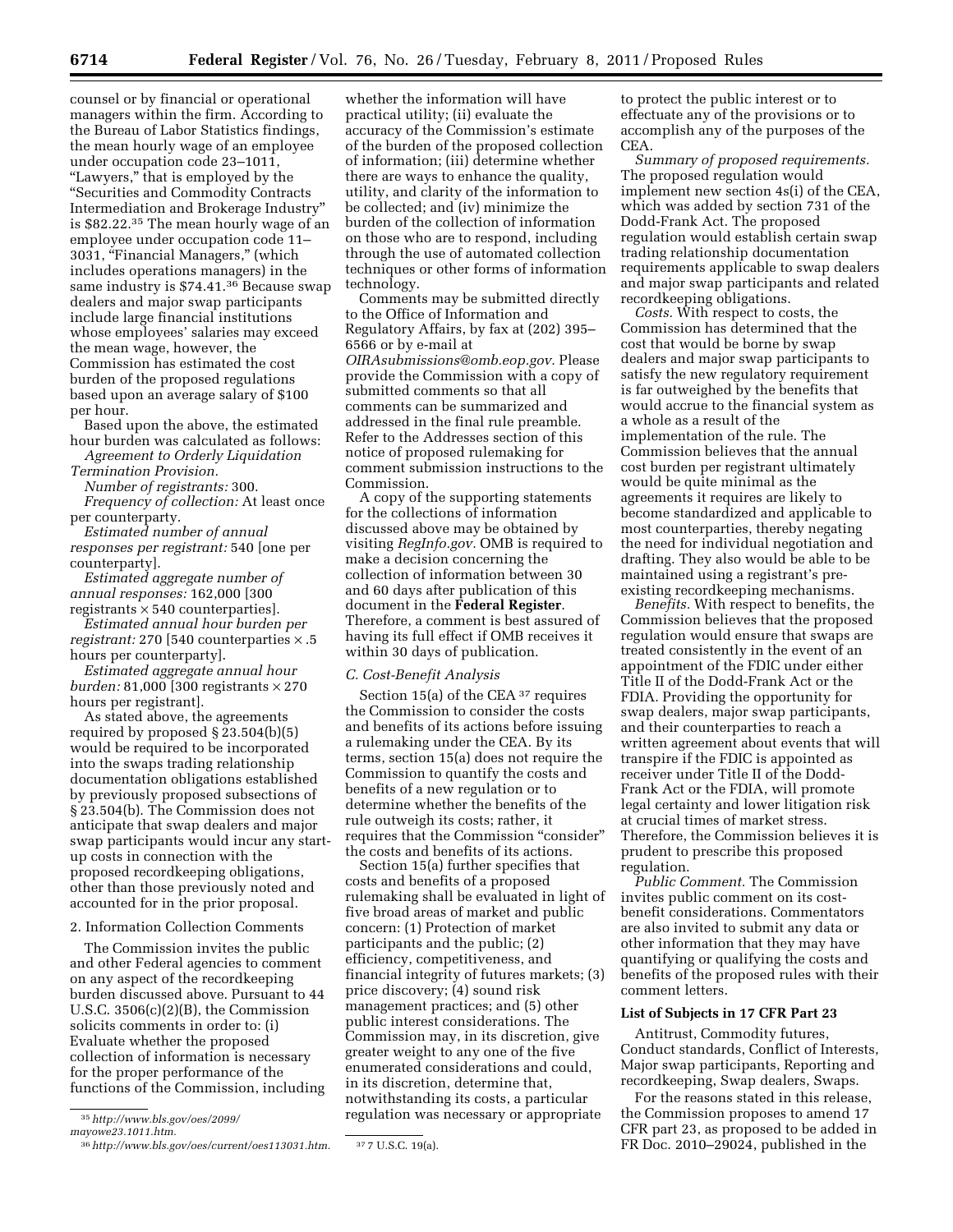counsel or by financial or operational managers within the firm. According to the Bureau of Labor Statistics findings, the mean hourly wage of an employee under occupation code 23–1011, "Lawyers," that is employed by the ''Securities and Commodity Contracts Intermediation and Brokerage Industry'' is \$82.22.35 The mean hourly wage of an employee under occupation code 11– 3031, "Financial Managers," (which includes operations managers) in the same industry is \$74.41.36 Because swap dealers and major swap participants include large financial institutions whose employees' salaries may exceed the mean wage, however, the Commission has estimated the cost burden of the proposed regulations based upon an average salary of \$100 per hour.

Based upon the above, the estimated hour burden was calculated as follows: *Agreement to Orderly Liquidation* 

*Termination Provision.* 

*Number of registrants:* 300. *Frequency of collection:* At least once per counterparty.

*Estimated number of annual responses per registrant:* 540 [one per counterparty].

*Estimated aggregate number of annual responses:* 162,000 [300 registrants  $\times$  540 counterparties].

*Estimated annual hour burden per registrant:* 270 [540 counterparties × .5 hours per counterparty].

*Estimated aggregate annual hour burden:* 81,000 [300 registrants × 270 hours per registrant].

As stated above, the agreements required by proposed § 23.504(b)(5) would be required to be incorporated into the swaps trading relationship documentation obligations established by previously proposed subsections of § 23.504(b). The Commission does not anticipate that swap dealers and major swap participants would incur any startup costs in connection with the proposed recordkeeping obligations, other than those previously noted and accounted for in the prior proposal.

## 2. Information Collection Comments

The Commission invites the public and other Federal agencies to comment on any aspect of the recordkeeping burden discussed above. Pursuant to 44 U.S.C. 3506(c)(2)(B), the Commission solicits comments in order to: (i) Evaluate whether the proposed collection of information is necessary for the proper performance of the functions of the Commission, including

35*[http://www.bls.gov/oes/2099/](http://www.bls.gov/oes/2099/mayowe23.1011.htm)* 

*[mayowe23.1011.htm.](http://www.bls.gov/oes/2099/mayowe23.1011.htm)* 

whether the information will have practical utility; (ii) evaluate the accuracy of the Commission's estimate of the burden of the proposed collection of information; (iii) determine whether there are ways to enhance the quality, utility, and clarity of the information to be collected; and (iv) minimize the burden of the collection of information on those who are to respond, including through the use of automated collection techniques or other forms of information technology.

Comments may be submitted directly to the Office of Information and Regulatory Affairs, by fax at (202) 395– 6566 or by e-mail at *[OIRAsubmissions@omb.eop.gov.](mailto:OIRAsubmissions@omb.eop.gov)* Please provide the Commission with a copy of submitted comments so that all comments can be summarized and addressed in the final rule preamble. Refer to the Addresses section of this notice of proposed rulemaking for comment submission instructions to the Commission.

A copy of the supporting statements for the collections of information discussed above may be obtained by visiting *RegInfo.gov.* OMB is required to make a decision concerning the collection of information between 30 and 60 days after publication of this document in the **Federal Register**. Therefore, a comment is best assured of having its full effect if OMB receives it within 30 days of publication.

### *C. Cost-Benefit Analysis*

Section 15(a) of the CEA 37 requires the Commission to consider the costs and benefits of its actions before issuing a rulemaking under the CEA. By its terms, section 15(a) does not require the Commission to quantify the costs and benefits of a new regulation or to determine whether the benefits of the rule outweigh its costs; rather, it requires that the Commission "consider" the costs and benefits of its actions.

Section 15(a) further specifies that costs and benefits of a proposed rulemaking shall be evaluated in light of five broad areas of market and public concern: (1) Protection of market participants and the public; (2) efficiency, competitiveness, and financial integrity of futures markets; (3) price discovery; (4) sound risk management practices; and (5) other public interest considerations. The Commission may, in its discretion, give greater weight to any one of the five enumerated considerations and could, in its discretion, determine that, notwithstanding its costs, a particular regulation was necessary or appropriate

to protect the public interest or to effectuate any of the provisions or to accomplish any of the purposes of the CEA.

*Summary of proposed requirements.*  The proposed regulation would implement new section 4s(i) of the CEA, which was added by section 731 of the Dodd-Frank Act. The proposed regulation would establish certain swap trading relationship documentation requirements applicable to swap dealers and major swap participants and related recordkeeping obligations.

*Costs.* With respect to costs, the Commission has determined that the cost that would be borne by swap dealers and major swap participants to satisfy the new regulatory requirement is far outweighed by the benefits that would accrue to the financial system as a whole as a result of the implementation of the rule. The Commission believes that the annual cost burden per registrant ultimately would be quite minimal as the agreements it requires are likely to become standardized and applicable to most counterparties, thereby negating the need for individual negotiation and drafting. They also would be able to be maintained using a registrant's preexisting recordkeeping mechanisms.

*Benefits.* With respect to benefits, the Commission believes that the proposed regulation would ensure that swaps are treated consistently in the event of an appointment of the FDIC under either Title II of the Dodd-Frank Act or the FDIA. Providing the opportunity for swap dealers, major swap participants, and their counterparties to reach a written agreement about events that will transpire if the FDIC is appointed as receiver under Title II of the Dodd-Frank Act or the FDIA, will promote legal certainty and lower litigation risk at crucial times of market stress. Therefore, the Commission believes it is prudent to prescribe this proposed regulation.

*Public Comment.* The Commission invites public comment on its costbenefit considerations. Commentators are also invited to submit any data or other information that they may have quantifying or qualifying the costs and benefits of the proposed rules with their comment letters.

#### **List of Subjects in 17 CFR Part 23**

Antitrust, Commodity futures, Conduct standards, Conflict of Interests, Major swap participants, Reporting and recordkeeping, Swap dealers, Swaps.

For the reasons stated in this release, the Commission proposes to amend 17 CFR part 23, as proposed to be added in FR Doc. 2010–29024, published in the

<sup>36</sup>*[http://www.bls.gov/oes/current/oes113031.htm.](http://www.bls.gov/oes/current/oes113031.htm)* 37 7 U.S.C. 19(a).